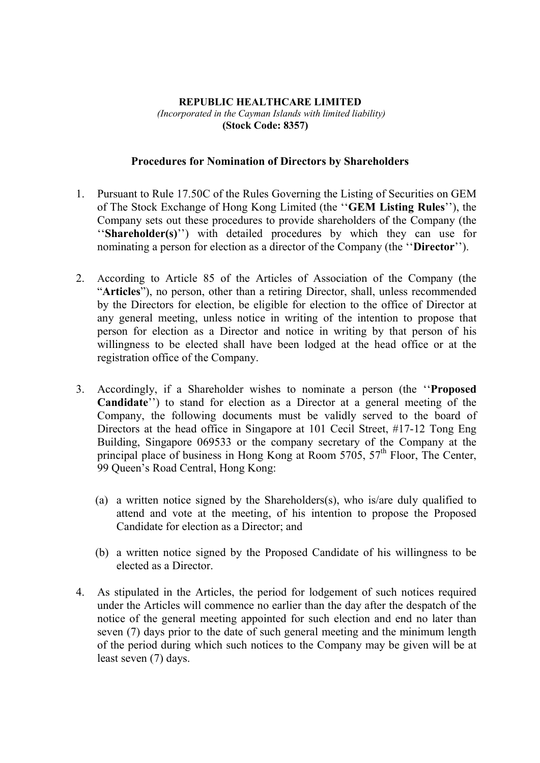## **REPUBLIC HEALTHCARE LIMITED**  *(Incorporated in the Cayman Islands with limited liability)*  **(Stock Code: 8357)**

## **Procedures for Nomination of Directors by Shareholders**

- 1. Pursuant to Rule 17.50C of the Rules Governing the Listing of Securities on GEM of The Stock Exchange of Hong Kong Limited (the ''**GEM Listing Rules**''), the Company sets out these procedures to provide shareholders of the Company (the ''**Shareholder(s)**'') with detailed procedures by which they can use for nominating a person for election as a director of the Company (the ''**Director**'').
- 2. According to Article 85 of the Articles of Association of the Company (the "**Articles**"), no person, other than a retiring Director, shall, unless recommended by the Directors for election, be eligible for election to the office of Director at any general meeting, unless notice in writing of the intention to propose that person for election as a Director and notice in writing by that person of his willingness to be elected shall have been lodged at the head office or at the registration office of the Company.
- 3. Accordingly, if a Shareholder wishes to nominate a person (the ''**Proposed Candidate**'') to stand for election as a Director at a general meeting of the Company, the following documents must be validly served to the board of Directors at the head office in Singapore at 101 Cecil Street, #17-12 Tong Eng Building, Singapore 069533 or the company secretary of the Company at the principal place of business in Hong Kong at Room  $5705$ ,  $57<sup>th</sup>$  Floor, The Center, 99 Queen's Road Central, Hong Kong:
	- (a) a written notice signed by the Shareholders(s), who is/are duly qualified to attend and vote at the meeting, of his intention to propose the Proposed Candidate for election as a Director; and
	- (b) a written notice signed by the Proposed Candidate of his willingness to be elected as a Director.
- 4. As stipulated in the Articles, the period for lodgement of such notices required under the Articles will commence no earlier than the day after the despatch of the notice of the general meeting appointed for such election and end no later than seven (7) days prior to the date of such general meeting and the minimum length of the period during which such notices to the Company may be given will be at least seven (7) days.